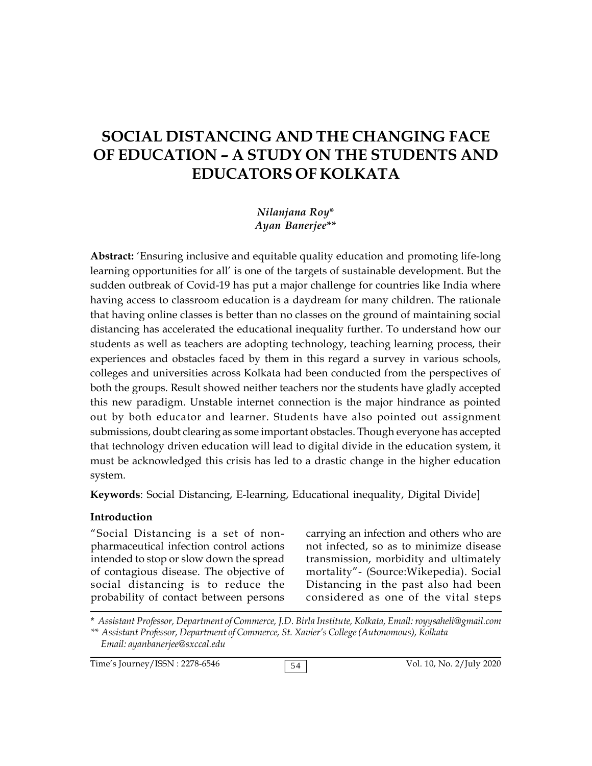# **SOCIAL DISTANCING AND THE CHANGING FACE OF EDUCATION – A STUDY ON THE STUDENTS AND EDUCATORS OF KOLKATA**

*Nilanjana Roy***\*** *Ayan Banerjee***\*\***

**Abstract:** 'Ensuring inclusive and equitable quality education and promoting life-long learning opportunities for all' is one of the targets of sustainable development. But the sudden outbreak of Covid-19 has put a major challenge for countries like India where having access to classroom education is a daydream for many children. The rationale that having online classes is better than no classes on the ground of maintaining social distancing has accelerated the educational inequality further. To understand how our students as well as teachers are adopting technology, teaching learning process, their experiences and obstacles faced by them in this regard a survey in various schools, colleges and universities across Kolkata had been conducted from the perspectives of both the groups. Result showed neither teachers nor the students have gladly accepted this new paradigm. Unstable internet connection is the major hindrance as pointed out by both educator and learner. Students have also pointed out assignment submissions, doubt clearing as some important obstacles. Though everyone has accepted that technology driven education will lead to digital divide in the education system, it must be acknowledged this crisis has led to a drastic change in the higher education system.

**Keywords**: Social Distancing, E-learning, Educational inequality, Digital Divide]

#### **Introduction**

"Social Distancing is a set of nonpharmaceutical infection control actions intended to stop or slow down the spread of contagious disease. The objective of social distancing is to reduce the probability of contact between persons

carrying an infection and others who are not infected, so as to minimize disease transmission, morbidity and ultimately mortality"- (Source:Wikepedia). Social Distancing in the past also had been considered as one of the vital steps

\* *Assistant Professor, Department of Commerce, J.D. Birla Institute, Kolkata, Email: royysaheli@gmail.com \*\* Assistant Professor, Department of Commerce, St. Xavier's College (Autonomous), Kolkata Email: ayanbanerjee@sxccal.edu*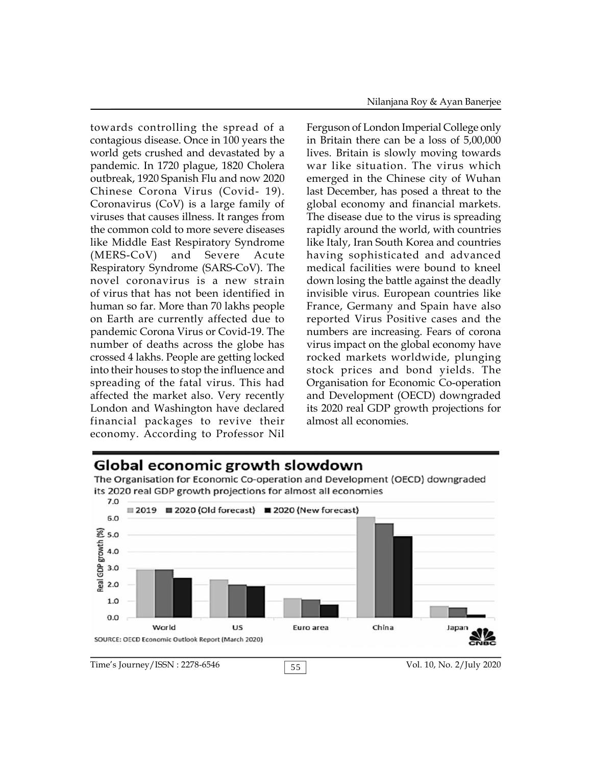towards controlling the spread of a contagious disease. Once in 100 years the world gets crushed and devastated by a pandemic. In 1720 plague, 1820 Cholera outbreak, 1920 Spanish Flu and now 2020 Chinese Corona Virus (Covid- 19). Coronavirus (CoV) is a large family of viruses that causes illness. It ranges from the common cold to more severe diseases like Middle East Respiratory Syndrome (MERS-CoV) and Severe Acute Respiratory Syndrome (SARS-CoV). The novel coronavirus is a new strain of virus that has not been identified in human so far. More than 70 lakhs people on Earth are currently affected due to pandemic Corona Virus or Covid-19. The number of deaths across the globe has crossed 4 lakhs. People are getting locked into their houses to stop the influence and spreading of the fatal virus. This had affected the market also. Very recently London and Washington have declared financial packages to revive their economy. According to Professor Nil

Ferguson of London Imperial College only in Britain there can be a loss of 5,00,000 lives. Britain is slowly moving towards war like situation. The virus which emerged in the Chinese city of Wuhan last December, has posed a threat to the global economy and financial markets. The disease due to the virus is spreading rapidly around the world, with countries like Italy, Iran South Korea and countries having sophisticated and advanced medical facilities were bound to kneel down losing the battle against the deadly invisible virus. European countries like France, Germany and Spain have also reported Virus Positive cases and the numbers are increasing. Fears of corona virus impact on the global economy have rocked markets worldwide, plunging stock prices and bond yields. The Organisation for Economic Co-operation and Development (OECD) downgraded its 2020 real GDP growth projections for almost all economies.

## Global economic growth slowdown

The Organisation for Economic Co-operation and Development (OECD) downgraded its 2020 real GDP growth projections for almost all economies

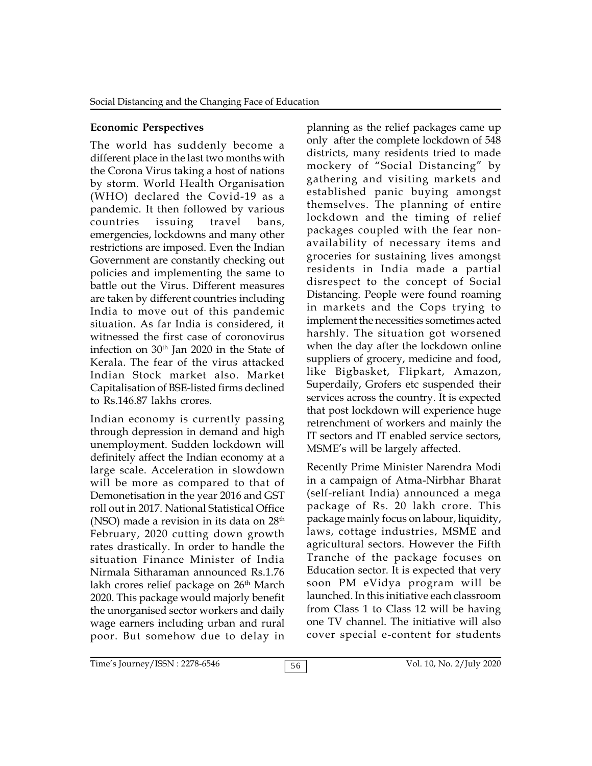### **Economic Perspectives**

The world has suddenly become a different place in the last two months with the Corona Virus taking a host of nations by storm. World Health Organisation (WHO) declared the Covid-19 as a pandemic. It then followed by various countries issuing travel bans, emergencies, lockdowns and many other restrictions are imposed. Even the Indian Government are constantly checking out policies and implementing the same to battle out the Virus. Different measures are taken by different countries including India to move out of this pandemic situation. As far India is considered, it witnessed the first case of coronovirus infection on 30<sup>th</sup> Jan 2020 in the State of Kerala. The fear of the virus attacked Indian Stock market also. Market Capitalisation of BSE-listed firms declined to Rs.146.87 lakhs crores.

Indian economy is currently passing through depression in demand and high unemployment. Sudden lockdown will definitely affect the Indian economy at a large scale. Acceleration in slowdown will be more as compared to that of Demonetisation in the year 2016 and GST roll out in 2017. National Statistical Office (NSO) made a revision in its data on  $28<sup>th</sup>$ February, 2020 cutting down growth rates drastically. In order to handle the situation Finance Minister of India Nirmala Sitharaman announced Rs.1.76 lakh crores relief package on 26<sup>th</sup> March 2020. This package would majorly benefit the unorganised sector workers and daily wage earners including urban and rural poor. But somehow due to delay in

planning as the relief packages came up only after the complete lockdown of 548 districts, many residents tried to made mockery of "Social Distancing" by gathering and visiting markets and established panic buying amongst themselves. The planning of entire lockdown and the timing of relief packages coupled with the fear nonavailability of necessary items and groceries for sustaining lives amongst residents in India made a partial disrespect to the concept of Social Distancing. People were found roaming in markets and the Cops trying to implement the necessities sometimes acted harshly. The situation got worsened when the day after the lockdown online suppliers of grocery, medicine and food, like Bigbasket, Flipkart, Amazon, Superdaily, Grofers etc suspended their services across the country. It is expected that post lockdown will experience huge retrenchment of workers and mainly the IT sectors and IT enabled service sectors, MSME's will be largely affected.

Recently Prime Minister Narendra Modi in a campaign of Atma-Nirbhar Bharat (self-reliant India) announced a mega package of Rs. 20 lakh crore. This package mainly focus on labour, liquidity, laws, cottage industries, MSME and agricultural sectors. However the Fifth Tranche of the package focuses on Education sector. It is expected that very soon PM eVidya program will be launched. In this initiative each classroom from Class 1 to Class 12 will be having one TV channel. The initiative will also cover special e-content for students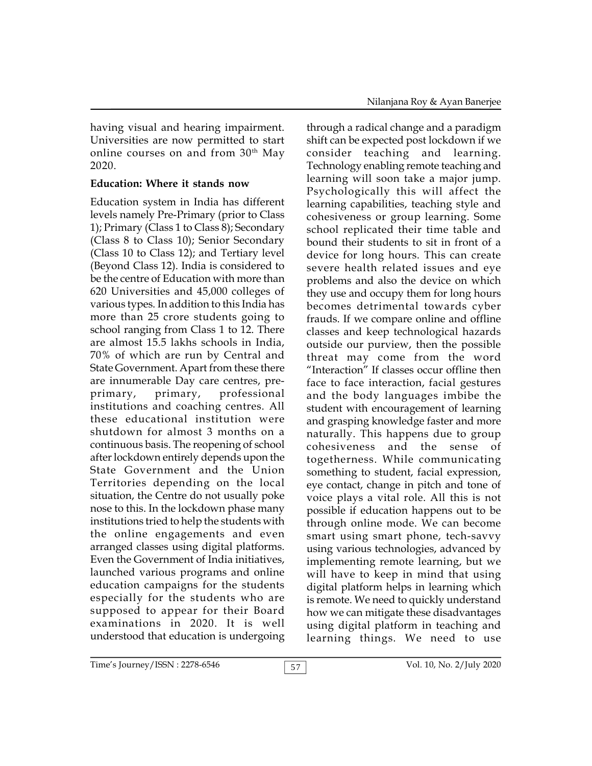having visual and hearing impairment. Universities are now permitted to start online courses on and from  $30<sup>th</sup>$  May 2020.

### **Education: Where it stands now**

Education system in India has different levels namely Pre-Primary (prior to Class 1); Primary (Class 1 to Class 8); Secondary (Class 8 to Class 10); Senior Secondary (Class 10 to Class 12); and Tertiary level (Beyond Class 12). India is considered to be the centre of Education with more than 620 Universities and 45,000 colleges of various types. In addition to this India has more than 25 crore students going to school ranging from Class 1 to 12. There are almost 15.5 lakhs schools in India, 70% of which are run by Central and State Government. Apart from these there are innumerable Day care centres, preprimary, primary, professional institutions and coaching centres. All these educational institution were shutdown for almost 3 months on a continuous basis. The reopening of school after lockdown entirely depends upon the State Government and the Union Territories depending on the local situation, the Centre do not usually poke nose to this. In the lockdown phase many institutions tried to help the students with the online engagements and even arranged classes using digital platforms. Even the Government of India initiatives, launched various programs and online education campaigns for the students especially for the students who are supposed to appear for their Board examinations in 2020. It is well understood that education is undergoing

through a radical change and a paradigm shift can be expected post lockdown if we consider teaching and learning. Technology enabling remote teaching and learning will soon take a major jump. Psychologically this will affect the learning capabilities, teaching style and cohesiveness or group learning. Some school replicated their time table and bound their students to sit in front of a device for long hours. This can create severe health related issues and eye problems and also the device on which they use and occupy them for long hours becomes detrimental towards cyber frauds. If we compare online and offline classes and keep technological hazards outside our purview, then the possible threat may come from the word "Interaction" If classes occur offline then face to face interaction, facial gestures and the body languages imbibe the student with encouragement of learning and grasping knowledge faster and more naturally. This happens due to group cohesiveness and the sense of togetherness. While communicating something to student, facial expression, eye contact, change in pitch and tone of voice plays a vital role. All this is not possible if education happens out to be through online mode. We can become smart using smart phone, tech-savvy using various technologies, advanced by implementing remote learning, but we will have to keep in mind that using digital platform helps in learning which is remote. We need to quickly understand how we can mitigate these disadvantages using digital platform in teaching and learning things. We need to use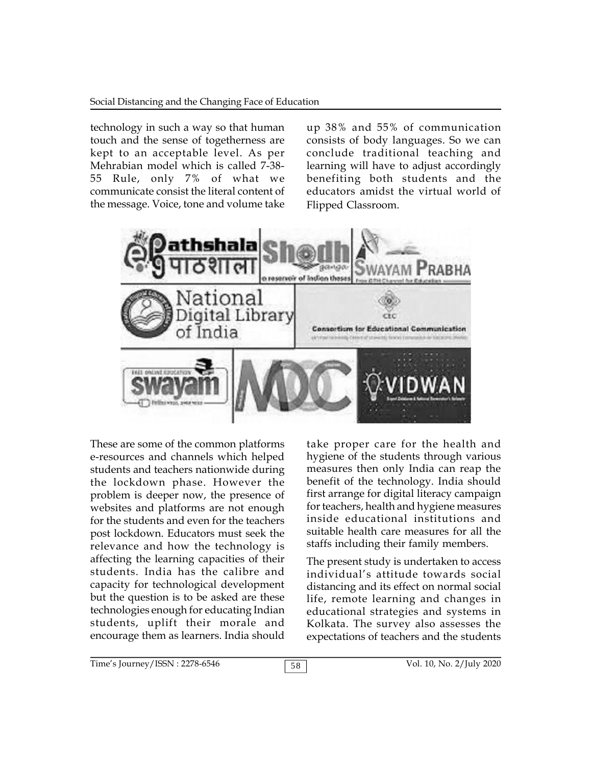#### Social Distancing and the Changing Face of Education

technology in such a way so that human touch and the sense of togetherness are kept to an acceptable level. As per Mehrabian model which is called 7-38- 55 Rule, only 7% of what we communicate consist the literal content of the message. Voice, tone and volume take

up 38% and 55% of communication consists of body languages. So we can conclude traditional teaching and learning will have to adjust accordingly benefiting both students and the educators amidst the virtual world of Flipped Classroom.



These are some of the common platforms e-resources and channels which helped students and teachers nationwide during the lockdown phase. However the problem is deeper now, the presence of websites and platforms are not enough for the students and even for the teachers post lockdown. Educators must seek the relevance and how the technology is affecting the learning capacities of their students. India has the calibre and capacity for technological development but the question is to be asked are these technologies enough for educating Indian students, uplift their morale and encourage them as learners. India should

take proper care for the health and hygiene of the students through various measures then only India can reap the benefit of the technology. India should first arrange for digital literacy campaign for teachers, health and hygiene measures inside educational institutions and suitable health care measures for all the staffs including their family members.

The present study is undertaken to access individual's attitude towards social distancing and its effect on normal social life, remote learning and changes in educational strategies and systems in Kolkata. The survey also assesses the expectations of teachers and the students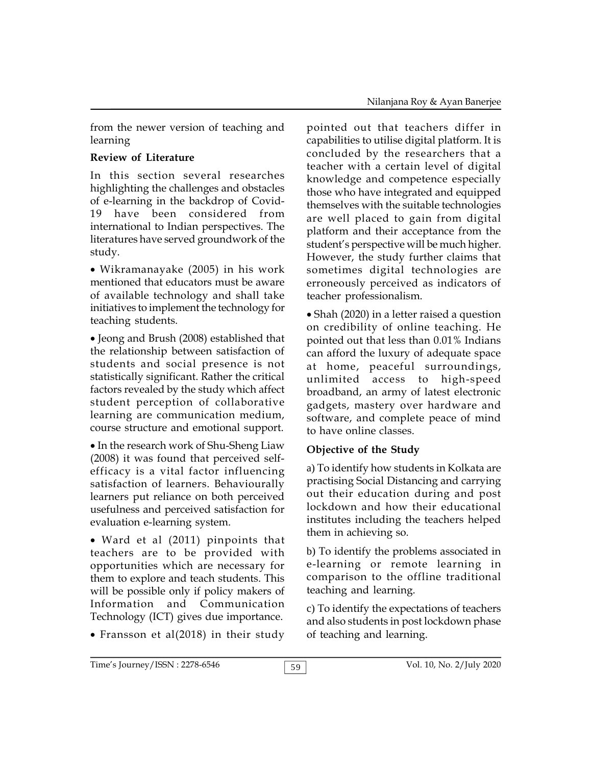from the newer version of teaching and learning

## **Review of Literature**

In this section several researches highlighting the challenges and obstacles of e-learning in the backdrop of Covid-19 have been considered from international to Indian perspectives. The literatures have served groundwork of the study.

Wikramanayake (2005) in his work mentioned that educators must be aware of available technology and shall take initiatives to implement the technology for teaching students.

Jeong and Brush (2008) established that the relationship between satisfaction of students and social presence is not statistically significant. Rather the critical factors revealed by the study which affect student perception of collaborative learning are communication medium, course structure and emotional support.

• In the research work of Shu-Sheng Liaw (2008) it was found that perceived selfefficacy is a vital factor influencing satisfaction of learners. Behaviourally learners put reliance on both perceived usefulness and perceived satisfaction for evaluation e-learning system.

 Ward et al (2011) pinpoints that teachers are to be provided with opportunities which are necessary for them to explore and teach students. This will be possible only if policy makers of Information and Communication Technology (ICT) gives due importance.

Fransson et al(2018) in their study

pointed out that teachers differ in capabilities to utilise digital platform. It is concluded by the researchers that a teacher with a certain level of digital knowledge and competence especially those who have integrated and equipped themselves with the suitable technologies are well placed to gain from digital platform and their acceptance from the student's perspective will be much higher. However, the study further claims that sometimes digital technologies are erroneously perceived as indicators of teacher professionalism.

Shah (2020) in a letter raised a question on credibility of online teaching. He pointed out that less than 0.01% Indians can afford the luxury of adequate space at home, peaceful surroundings, unlimited access to high-speed broadband, an army of latest electronic gadgets, mastery over hardware and software, and complete peace of mind to have online classes.

## **Objective of the Study**

a) To identify how students in Kolkata are practising Social Distancing and carrying out their education during and post lockdown and how their educational institutes including the teachers helped them in achieving so.

b) To identify the problems associated in e-learning or remote learning in comparison to the offline traditional teaching and learning.

c) To identify the expectations of teachers and also students in post lockdown phase of teaching and learning.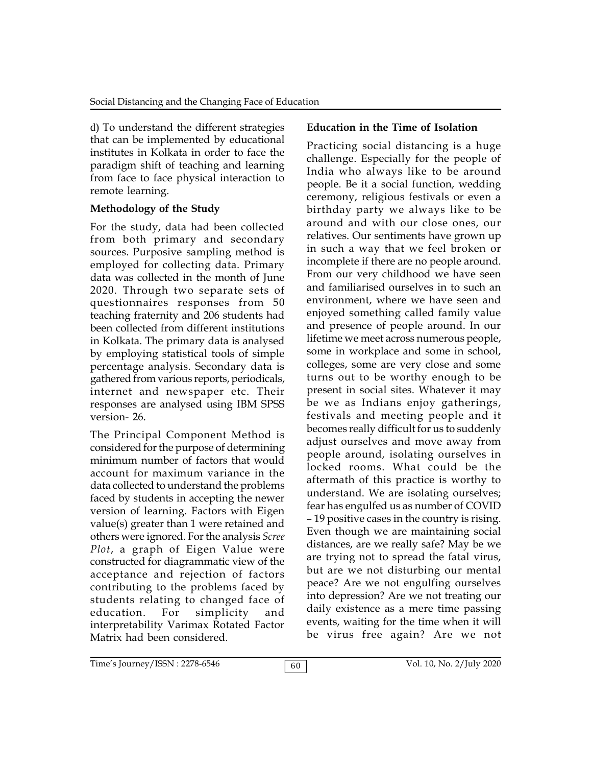d) To understand the different strategies that can be implemented by educational institutes in Kolkata in order to face the paradigm shift of teaching and learning from face to face physical interaction to remote learning.

## **Methodology of the Study**

For the study, data had been collected from both primary and secondary sources. Purposive sampling method is employed for collecting data. Primary data was collected in the month of June 2020. Through two separate sets of questionnaires responses from 50 teaching fraternity and 206 students had been collected from different institutions in Kolkata. The primary data is analysed by employing statistical tools of simple percentage analysis. Secondary data is gathered from various reports, periodicals, internet and newspaper etc. Their responses are analysed using IBM SPSS version- 26.

The Principal Component Method is considered for the purpose of determining minimum number of factors that would account for maximum variance in the data collected to understand the problems faced by students in accepting the newer version of learning. Factors with Eigen value(s) greater than 1 were retained and others were ignored. For the analysis *Scree Plot*, a graph of Eigen Value were constructed for diagrammatic view of the acceptance and rejection of factors contributing to the problems faced by students relating to changed face of education. For simplicity and interpretability Varimax Rotated Factor Matrix had been considered.

# **Education in the Time of Isolation**

Practicing social distancing is a huge challenge. Especially for the people of India who always like to be around people. Be it a social function, wedding ceremony, religious festivals or even a birthday party we always like to be around and with our close ones, our relatives. Our sentiments have grown up in such a way that we feel broken or incomplete if there are no people around. From our very childhood we have seen and familiarised ourselves in to such an environment, where we have seen and enjoyed something called family value and presence of people around. In our lifetime we meet across numerous people, some in workplace and some in school, colleges, some are very close and some turns out to be worthy enough to be present in social sites. Whatever it may be we as Indians enjoy gatherings, festivals and meeting people and it becomes really difficult for us to suddenly adjust ourselves and move away from people around, isolating ourselves in locked rooms. What could be the aftermath of this practice is worthy to understand. We are isolating ourselves; fear has engulfed us as number of COVID – 19 positive cases in the country is rising. Even though we are maintaining social distances, are we really safe? May be we are trying not to spread the fatal virus, but are we not disturbing our mental peace? Are we not engulfing ourselves into depression? Are we not treating our daily existence as a mere time passing events, waiting for the time when it will be virus free again? Are we not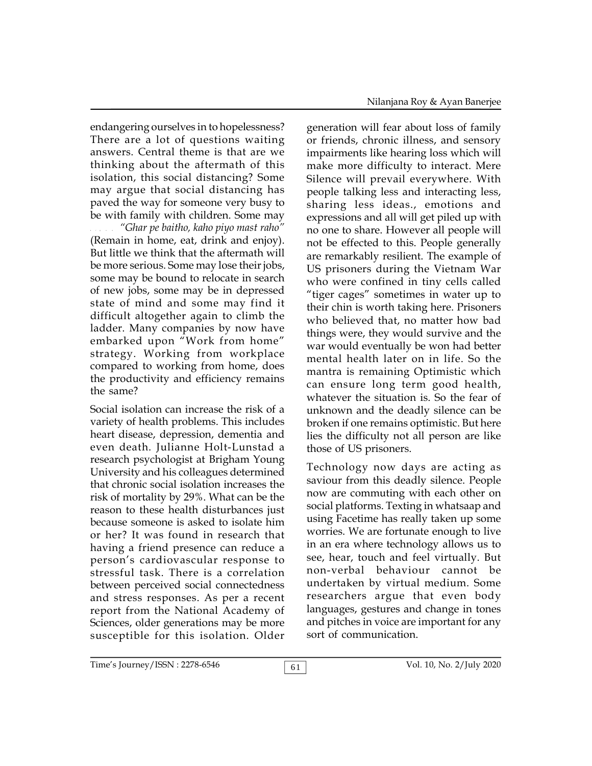endangering ourselves in to hopelessness? There are a lot of questions waiting answers. Central theme is that are we thinking about the aftermath of this isolation, this social distancing? Some may argue that social distancing has paved the way for someone very busy to be with family with children. Some may

"Ghar pe baitho, kaho piyo mast raho" (Remain in home, eat, drink and enjoy). But little we think that the aftermath will be more serious. Some may lose their jobs, some may be bound to relocate in search of new jobs, some may be in depressed state of mind and some may find it difficult altogether again to climb the ladder. Many companies by now have embarked upon "Work from home" strategy. Working from workplace compared to working from home, does the productivity and efficiency remains the same?

Social isolation can increase the risk of a variety of health problems. This includes heart disease, depression, dementia and even death. Julianne Holt-Lunstad a research psychologist at Brigham Young University and his colleagues determined that chronic social isolation increases the risk of mortality by 29%. What can be the reason to these health disturbances just because someone is asked to isolate him or her? It was found in research that having a friend presence can reduce a person's cardiovascular response to stressful task. There is a correlation between perceived social connectedness and stress responses. As per a recent report from the National Academy of Sciences, older generations may be more susceptible for this isolation. Older

generation will fear about loss of family or friends, chronic illness, and sensory impairments like hearing loss which will make more difficulty to interact. Mere Silence will prevail everywhere. With people talking less and interacting less, sharing less ideas., emotions and expressions and all will get piled up with no one to share. However all people will not be effected to this. People generally are remarkably resilient. The example of US prisoners during the Vietnam War who were confined in tiny cells called "tiger cages" sometimes in water up to their chin is worth taking here. Prisoners who believed that, no matter how bad things were, they would survive and the war would eventually be won had better mental health later on in life. So the mantra is remaining Optimistic which can ensure long term good health, whatever the situation is. So the fear of unknown and the deadly silence can be broken if one remains optimistic. But here lies the difficulty not all person are like those of US prisoners.

Technology now days are acting as saviour from this deadly silence. People now are commuting with each other on social platforms. Texting in whatsaap and using Facetime has really taken up some worries. We are fortunate enough to live in an era where technology allows us to see, hear, touch and feel virtually. But non-verbal behaviour cannot be undertaken by virtual medium. Some researchers argue that even body languages, gestures and change in tones and pitches in voice are important for any sort of communication.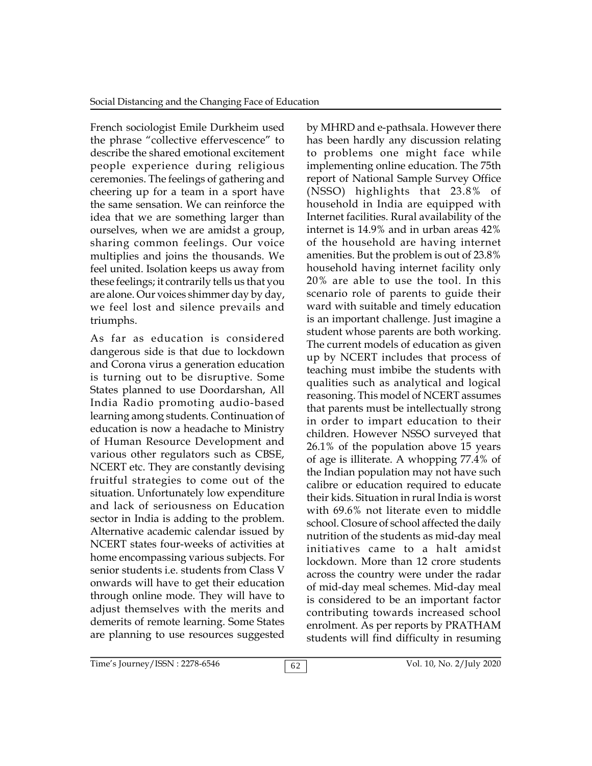French sociologist Emile Durkheim used the phrase "collective effervescence" to describe the shared emotional excitement people experience during religious ceremonies. The feelings of gathering and cheering up for a team in a sport have the same sensation. We can reinforce the idea that we are something larger than ourselves, when we are amidst a group, sharing common feelings. Our voice multiplies and joins the thousands. We feel united. Isolation keeps us away from these feelings; it contrarily tells us that you are alone. Our voices shimmer day by day, we feel lost and silence prevails and triumphs.

As far as education is considered dangerous side is that due to lockdown and Corona virus a generation education is turning out to be disruptive. Some States planned to use Doordarshan, All India Radio promoting audio-based learning among students. Continuation of education is now a headache to Ministry of Human Resource Development and various other regulators such as CBSE, NCERT etc. They are constantly devising fruitful strategies to come out of the situation. Unfortunately low expenditure and lack of seriousness on Education sector in India is adding to the problem. Alternative academic calendar issued by NCERT states four-weeks of activities at home encompassing various subjects. For senior students i.e. students from Class V onwards will have to get their education through online mode. They will have to adjust themselves with the merits and demerits of remote learning. Some States are planning to use resources suggested

by MHRD and e-pathsala. However there has been hardly any discussion relating to problems one might face while implementing online education. The 75th report of National Sample Survey Office (NSSO) highlights that 23.8% of household in India are equipped with Internet facilities. Rural availability of the internet is 14.9% and in urban areas 42% of the household are having internet amenities. But the problem is out of 23.8% household having internet facility only 20% are able to use the tool. In this scenario role of parents to guide their ward with suitable and timely education is an important challenge. Just imagine a student whose parents are both working. The current models of education as given up by NCERT includes that process of teaching must imbibe the students with qualities such as analytical and logical reasoning. This model of NCERT assumes that parents must be intellectually strong in order to impart education to their children. However NSSO surveyed that 26.1% of the population above 15 years of age is illiterate. A whopping 77.4% of the Indian population may not have such calibre or education required to educate their kids. Situation in rural India is worst with 69.6% not literate even to middle school. Closure of school affected the daily nutrition of the students as mid-day meal initiatives came to a halt amidst lockdown. More than 12 crore students across the country were under the radar of mid-day meal schemes. Mid-day meal is considered to be an important factor contributing towards increased school enrolment. As per reports by PRATHAM students will find difficulty in resuming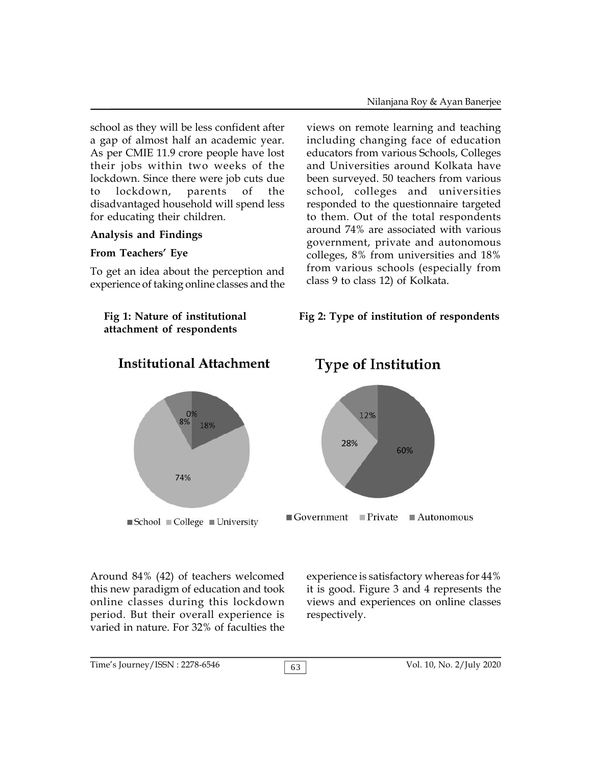school as they will be less confident after a gap of almost half an academic year. As per CMIE 11.9 crore people have lost their jobs within two weeks of the lockdown. Since there were job cuts due to lockdown, parents of the disadvantaged household will spend less for educating their children.

#### **Analysis and Findings**

#### **From Teachers' Eye**

To get an idea about the perception and experience of taking online classes and the

**attachment of respondents**

views on remote learning and teaching including changing face of education educators from various Schools, Colleges and Universities around Kolkata have been surveyed. 50 teachers from various school, colleges and universities responded to the questionnaire targeted to them. Out of the total respondents around 74% are associated with various government, private and autonomous colleges, 8% from universities and 18% from various schools (especially from class 9 to class 12) of Kolkata.

#### **Fig 1: Nature of institutional Fig 2: Type of institution of respondents**



## **Institutional Attachment**

Around 84% (42) of teachers welcomed this new paradigm of education and took online classes during this lockdown period. But their overall experience is varied in nature. For 32% of faculties the

# **Type of Institution**



experience is satisfactory whereas for 44% it is good. Figure 3 and 4 represents the views and experiences on online classes respectively.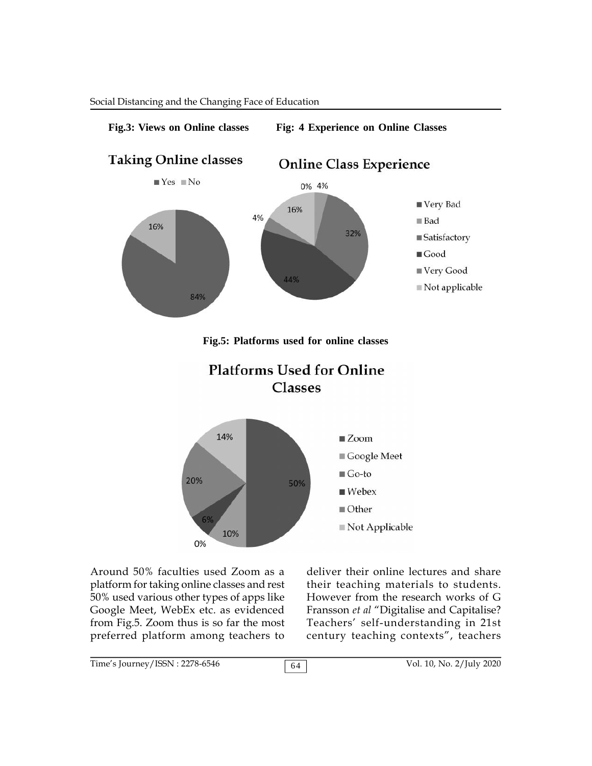

Around 50% faculties used Zoom as a deliver their platform for taking online classes and rest 50% used various other types of apps like Google Meet, WebEx etc. as evidenced from Fig.5. Zoom thus is so far the most preferred platform among teachers to

deliver their online lectures and share their teaching materials to students. However from the research works of G Fransson *et al* "Digitalise and Capitalise? Teachers' self-understanding in 21st century teaching contexts", teachers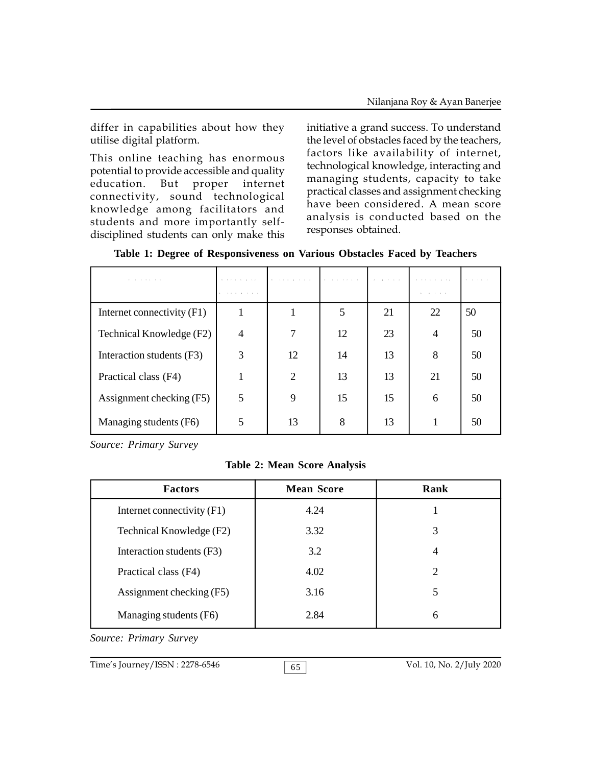differ in capabilities about how they utilise digital platform.

This online teaching has enormous potential to provide accessible and quality education. But proper internet connectivity, sound technological knowledge among facilitators and students and more importantly selfdisciplined students can only make this

initiative a grand success. To understand the level of obstacles faced by the teachers, factors like availability of internet, technological knowledge, interacting and managing students, capacity to take practical classes and assignment checking have been considered. A mean score analysis is conducted based on the responses obtained.

| Table 1: Degree of Responsiveness on Various Obstacles Faced by Teachers |  |  |  |
|--------------------------------------------------------------------------|--|--|--|
|--------------------------------------------------------------------------|--|--|--|

| a contract and a contract of the |   | .  |    |    | . <b>.</b>       | $\cdots$ |
|----------------------------------|---|----|----|----|------------------|----------|
|                                  | . |    |    |    | All contracts of |          |
| Internet connectivity (F1)       |   |    | 5  | 21 | 22               | 50       |
| Technical Knowledge (F2)         | 4 |    | 12 | 23 | $\overline{4}$   | 50       |
| Interaction students (F3)        | 3 | 12 | 14 | 13 | 8                | 50       |
| Practical class (F4)             |   | 2  | 13 | 13 | 21               | 50       |
| Assignment checking (F5)         | 5 | 9  | 15 | 15 | 6                | 50       |
| Managing students (F6)           | 5 | 13 | 8  | 13 |                  | 50       |

*Source: Primary Survey*

**Table 2: Mean Score Analysis**

| <b>Factors</b>             | <b>Mean Score</b> | Rank |
|----------------------------|-------------------|------|
| Internet connectivity (F1) | 4.24              |      |
| Technical Knowledge (F2)   | 3.32              | 3    |
| Interaction students (F3)  | 3.2               | 4    |
| Practical class (F4)       | 4.02              | 2    |
| Assignment checking (F5)   | 3.16              | 5    |
| Managing students (F6)     | 2.84              | 6    |

*Source: Primary Survey*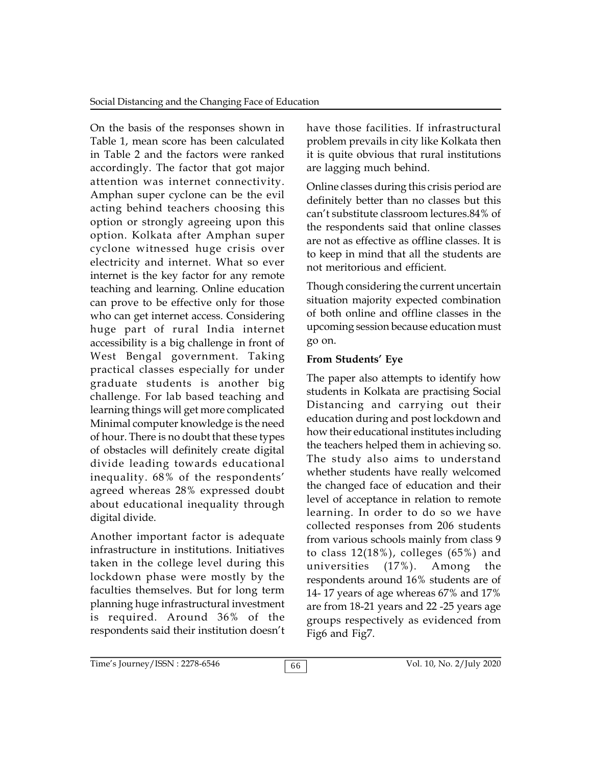On the basis of the responses shown in Table 1, mean score has been calculated in Table 2 and the factors were ranked accordingly. The factor that got major attention was internet connectivity. Amphan super cyclone can be the evil acting behind teachers choosing this option or strongly agreeing upon this option. Kolkata after Amphan super cyclone witnessed huge crisis over electricity and internet. What so ever internet is the key factor for any remote teaching and learning. Online education can prove to be effective only for those who can get internet access. Considering huge part of rural India internet accessibility is a big challenge in front of West Bengal government. Taking practical classes especially for under graduate students is another big challenge. For lab based teaching and learning things will get more complicated Minimal computer knowledge is the need of hour. There is no doubt that these types of obstacles will definitely create digital divide leading towards educational inequality. 68% of the respondents' agreed whereas 28% expressed doubt about educational inequality through digital divide.

Another important factor is adequate infrastructure in institutions. Initiatives taken in the college level during this universities lockdown phase were mostly by the faculties themselves. But for long term planning huge infrastructural investment is required. Around 36% of the respondents said their institution doesn't

have those facilities. If infrastructural problem prevails in city like Kolkata then it is quite obvious that rural institutions are lagging much behind.

Online classes during this crisis period are definitely better than no classes but this can't substitute classroom lectures.84% of the respondents said that online classes are not as effective as offline classes. It is to keep in mind that all the students are not meritorious and efficient.

Though considering the current uncertain situation majority expected combination of both online and offline classes in the upcoming session because education must go on.

## **From Students' Eye**

The paper also attempts to identify how students in Kolkata are practising Social Distancing and carrying out their education during and post lockdown and how their educational institutes including the teachers helped them in achieving so. The study also aims to understand whether students have really welcomed the changed face of education and their level of acceptance in relation to remote learning. In order to do so we have collected responses from 206 students from various schools mainly from class 9 to class  $12(18%)$ , colleges  $(65%)$  and  $(17\%)$ . Among the respondents around 16% students are of 14- 17 years of age whereas 67% and 17% are from 18-21 years and 22 -25 years age groups respectively as evidenced from Fig6 and Fig7.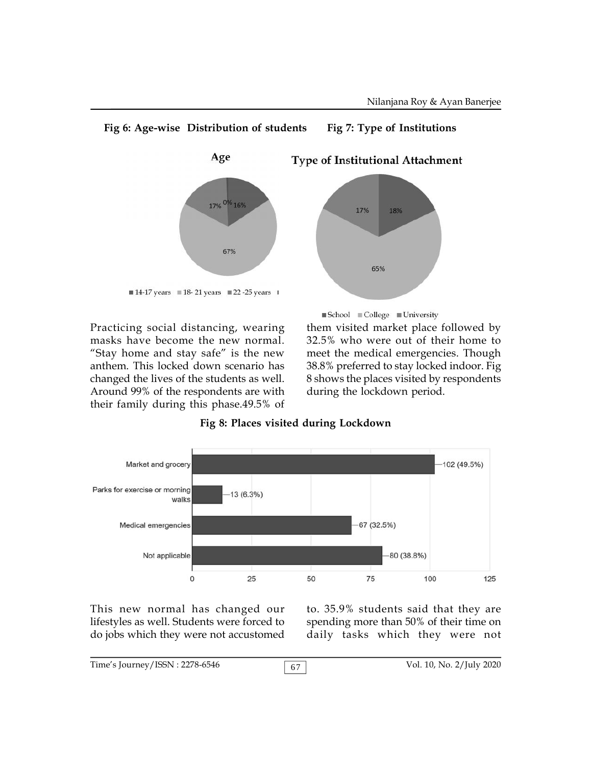

Practicing social distancing, wearing masks have become the new normal. "Stay home and stay safe" is the new anthem. This locked down scenario has changed the lives of the students as well. Around 99% of the respondents are with their family during this phase.49.5% of them visited market place followed by 32.5% who were out of their home to meet the medical emergencies. Though 38.8% preferred to stay locked indoor. Fig 8 shows the places visited by respondents during the lockdown period. ■School ■College ■University





This new normal has changed our lifestyles as well. Students were forced to do jobs which they were not accustomed

to. 35.9% students said that they are spending more than 50% of their time on daily tasks which they were not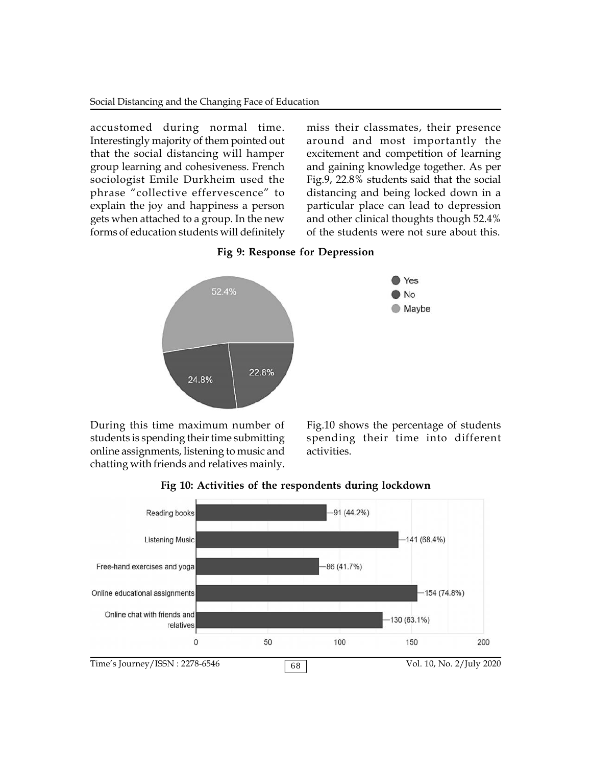accustomed during normal time. Interestingly majority of them pointed out that the social distancing will hamper group learning and cohesiveness. French sociologist Emile Durkheim used the phrase "collective effervescence" to explain the joy and happiness a person gets when attached to a group. In the new forms of education students will definitely miss their classmates, their presence around and most importantly the excitement and competition of learning and gaining knowledge together. As per Fig.9, 22.8% students said that the social distancing and being locked down in a particular place can lead to depression and other clinical thoughts though 52.4% of the students were not sure about this.





During this time maximum number of students is spending their time submitting online assignments, listening to music and chatting with friends and relatives mainly.

Fig.10 shows the percentage of students spending their time into different activities.



**Fig 10: Activities of the respondents during lockdown**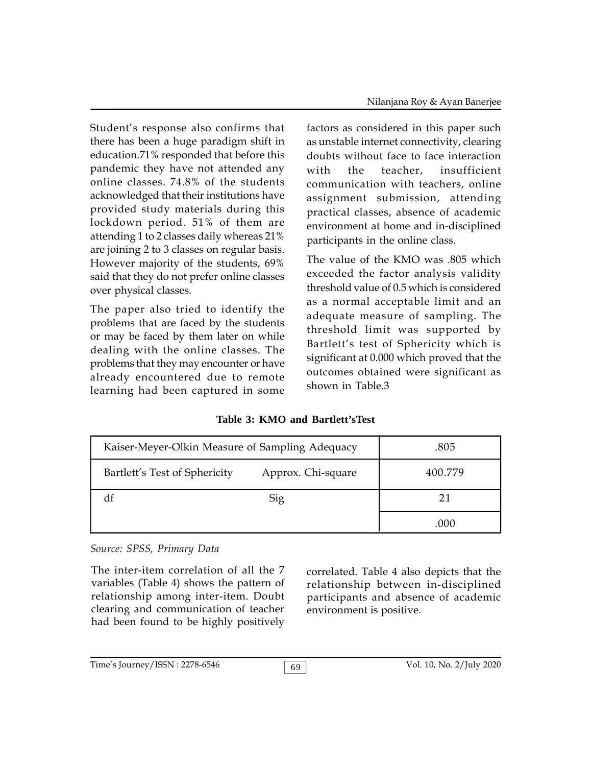Student's response also confirms that there has been a huge paradigm shift in education.71% responded that before this pandemic they have not attended any with online classes. 74.8% of the students acknowledged that their institutions have provided study materials during this lockdown period. 51% of them are attending 1 to 2 classes daily whereas 21% are joining 2 to 3 classes on regular basis. However majority of the students, 69% said that they do not prefer online classes over physical classes.

The paper also tried to identify the problems that are faced by the students or may be faced by them later on while dealing with the online classes. The problems that they may encounter or have already encountered due to remote learning had been captured in some

factors as considered in this paper such as unstable internet connectivity, clearing doubts without face to face interaction the teacher, insufficient communication with teachers, online assignment submission, attending practical classes, absence of academic environment at home and in-disciplined participants in the online class.

The value of the KMO was .805 which exceeded the factor analysis validity threshold value of 0.5 which is considered as a normal acceptable limit and an adequate measure of sampling. The threshold limit was supported by Bartlett's test of Sphericity which is significant at 0.000 which proved that the outcomes obtained were significant as shown in Table.3

**Table 3: KMO and Bartlett'sTest**

| Kaiser-Meyer-Olkin Measure of Sampling Adequacy | .805    |      |
|-------------------------------------------------|---------|------|
| Bartlett's Test of Sphericity                   | 400.779 |      |
|                                                 | 21      |      |
|                                                 |         | .000 |

*Source: SPSS, Primary Data*

The inter-item correlation of all the 7 variables (Table 4) shows the pattern of relationship among inter-item. Doubt clearing and communication of teacher had been found to be highly positively

correlated. Table 4 also depicts that the relationship between in-disciplined participants and absence of academic environment is positive.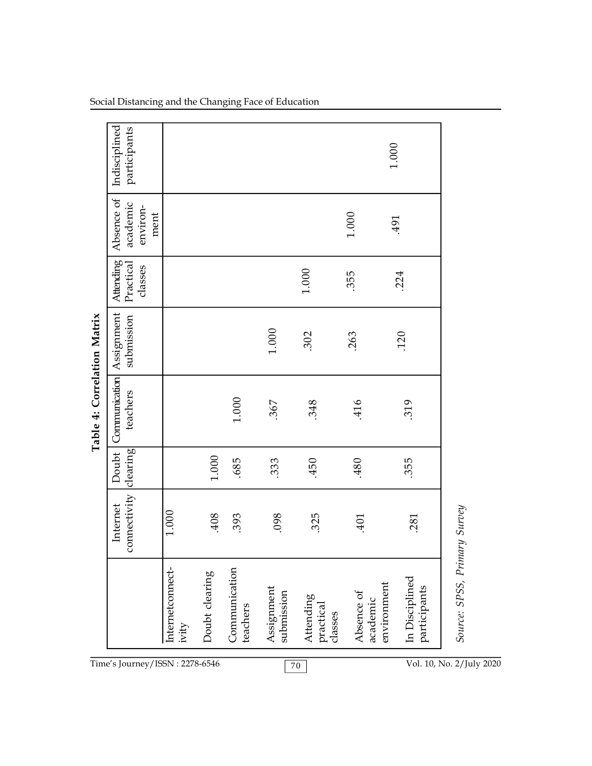|                             | Indisciplined<br>participants              |                           |                |                           |                          |                                   |                                       | $1.000\,$                      |                              |
|-----------------------------|--------------------------------------------|---------------------------|----------------|---------------------------|--------------------------|-----------------------------------|---------------------------------------|--------------------------------|------------------------------|
|                             | Absence of<br>academic<br>environ-<br>ment |                           |                |                           |                          |                                   | $1.000\,$                             | .491                           |                              |
|                             | Attending<br>Practical<br>classes          |                           |                |                           |                          | $1.000\,$                         | .355                                  | .224                           |                              |
|                             | Assignment<br>submission                   |                           |                |                           | $1.000\,$                | .302                              | .263                                  | <b>120</b>                     |                              |
| Table 4: Correlation Matrix | Communication<br>teachers                  |                           |                | $1.000\,$                 | .367                     | .348                              | 416                                   | .319                           |                              |
|                             | Doubt<br>clearing                          |                           | $1.000\,$      | .685                      | .333                     | .450                              | .480                                  | .355                           |                              |
|                             | connectivity<br>Internet                   | 1.000                     | .408           | .393                      | .098                     | 325                               | 401                                   | .281                           |                              |
|                             |                                            | Internetconnect-<br>ivity | Doubt clearing | Communication<br>teachers | Assignment<br>submission | Attending<br>practical<br>classes | environment<br>Absence of<br>academic | In Disciplined<br>participants | Source: SPSS, Primary Survey |
|                             | Time's Journey/ISSN: 2278-6546             |                           |                |                           |                          | $70\,$                            |                                       |                                | Vol. 10, No. 2/July 2020     |

Social Distancing and the Changing Face of Education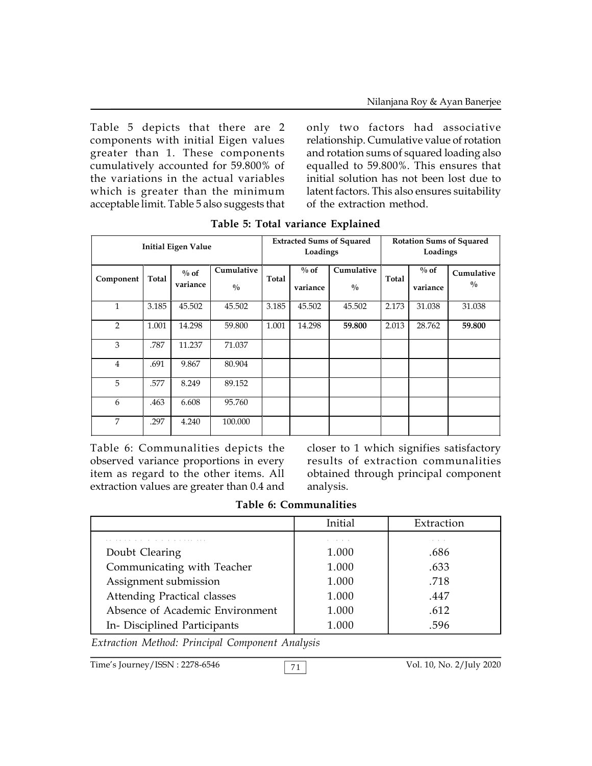Table 5 depicts that there are 2 components with initial Eigen values greater than 1. These components cumulatively accounted for 59.800% of the variations in the actual variables which is greater than the minimum acceptable limit. Table 5 also suggests that

only two factors had associative relationship. Cumulative value of rotation and rotation sums of squared loading also equalled to 59.800%. This ensures that initial solution has not been lost due to latent factors. This also ensures suitability of the extraction method.

|                |       | <b>Initial Eigen Value</b> |                             | <b>Extracted Sums of Squared</b><br>Loadings |                     | <b>Rotation Sums of Squared</b><br>Loadings |       |                     |                           |
|----------------|-------|----------------------------|-----------------------------|----------------------------------------------|---------------------|---------------------------------------------|-------|---------------------|---------------------------|
| Component      | Total | $\%$ of<br>variance        | Cumulative<br>$\frac{0}{0}$ | Total                                        | $\%$ of<br>variance | Cumulative<br>$\frac{0}{0}$                 | Total | $\%$ of<br>variance | Cumulative<br>$^{0}/_{0}$ |
| $\mathbf{1}$   | 3.185 | 45.502                     | 45.502                      | 3.185                                        | 45.502              | 45.502                                      | 2.173 | 31.038              | 31.038                    |
| 2              | 1.001 | 14.298                     | 59.800                      | 1.001                                        | 14.298              | 59.800                                      | 2.013 | 28.762              | 59.800                    |
| 3              | .787  | 11.237                     | 71.037                      |                                              |                     |                                             |       |                     |                           |
| $\overline{4}$ | .691  | 9.867                      | 80.904                      |                                              |                     |                                             |       |                     |                           |
| 5              | .577  | 8.249                      | 89.152                      |                                              |                     |                                             |       |                     |                           |
| 6              | .463  | 6.608                      | 95.760                      |                                              |                     |                                             |       |                     |                           |
| 7              | .297  | 4.240                      | 100.000                     |                                              |                     |                                             |       |                     |                           |

**Table 5: Total variance Explained**

Table 6: Communalities depicts the observed variance proportions in every item as regard to the other items. All extraction values are greater than 0.4 and

closer to 1 which signifies satisfactory results of extraction communalities obtained through principal component analysis.

|  | Table 6: Communalities |  |
|--|------------------------|--|
|--|------------------------|--|

|                                    | Initial   | Extraction |
|------------------------------------|-----------|------------|
| .                                  | .         | $\cdots$   |
| Doubt Clearing                     | 1.000     | .686       |
| Communicating with Teacher         | 1.000     | .633       |
| Assignment submission              | 1.000     | .718       |
| <b>Attending Practical classes</b> | 1.000     | .447       |
| Absence of Academic Environment    | 1.000     | .612       |
| In- Disciplined Participants       | $1.000\,$ | .596       |

*Extraction Method: Principal Component Analysis*

Time's Journey/ISSN : 2278-6546 71 Vol. 10, No. 2/July 2020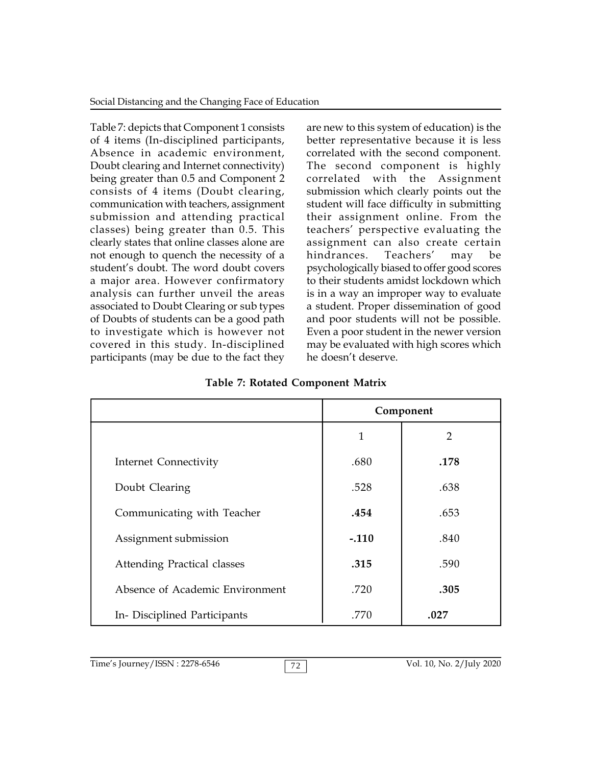Table 7: depicts that Component 1 consists of 4 items (In-disciplined participants, Absence in academic environment, Doubt clearing and Internet connectivity) being greater than 0.5 and Component 2 consists of 4 items (Doubt clearing, communication with teachers, assignment submission and attending practical classes) being greater than 0.5. This clearly states that online classes alone are not enough to quench the necessity of a student's doubt. The word doubt covers a major area. However confirmatory analysis can further unveil the areas associated to Doubt Clearing or sub types of Doubts of students can be a good path to investigate which is however not covered in this study. In-disciplined participants (may be due to the fact they

are new to this system of education) is the better representative because it is less correlated with the second component. The second component is highly correlated with the Assignment submission which clearly points out the student will face difficulty in submitting their assignment online. From the teachers' perspective evaluating the assignment can also create certain hindrances. Teachers' may be psychologically biased to offer good scores to their students amidst lockdown which is in a way an improper way to evaluate a student. Proper dissemination of good and poor students will not be possible. Even a poor student in the newer version may be evaluated with high scores which he doesn't deserve.

|                                    | Component |                |  |  |
|------------------------------------|-----------|----------------|--|--|
|                                    | 1         | $\overline{2}$ |  |  |
| Internet Connectivity              | .680      | .178           |  |  |
| Doubt Clearing                     | .528      | .638           |  |  |
| Communicating with Teacher         | .454      | .653           |  |  |
| Assignment submission              | $-.110$   | .840           |  |  |
| <b>Attending Practical classes</b> | .315      | .590           |  |  |
| Absence of Academic Environment    | .720      | .305           |  |  |
| In- Disciplined Participants       | .770      | .027           |  |  |

**Table 7: Rotated Component Matrix**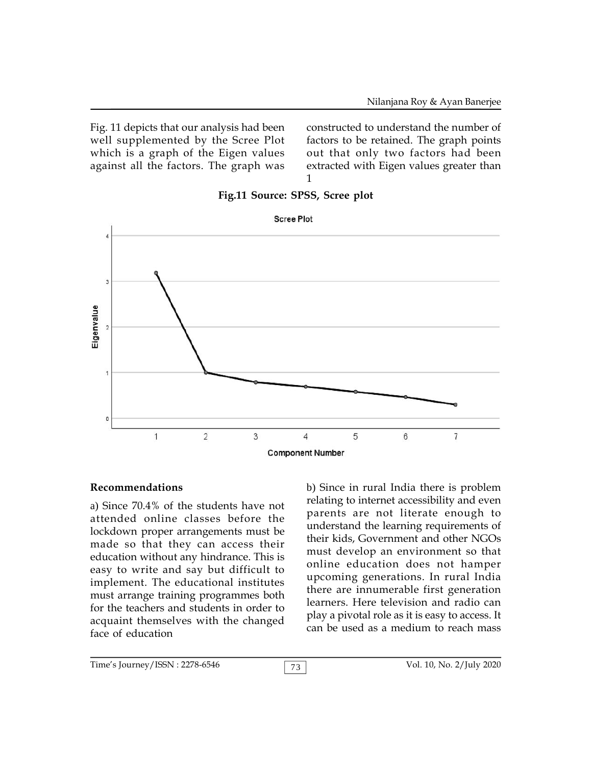Fig. 11 depicts that our analysis had been well supplemented by the Scree Plot which is a graph of the Eigen values against all the factors. The graph was

constructed to understand the number of factors to be retained. The graph points out that only two factors had been extracted with Eigen values greater than 1



#### **Fig.11 Source: SPSS, Scree plot**

#### **Recommendations**

a) Since 70.4% of the students have not attended online classes before the lockdown proper arrangements must be made so that they can access their education without any hindrance. This is easy to write and say but difficult to implement. The educational institutes must arrange training programmes both for the teachers and students in order to acquaint themselves with the changed face of education

b) Since in rural India there is problem relating to internet accessibility and even parents are not literate enough to understand the learning requirements of their kids, Government and other NGOs must develop an environment so that online education does not hamper upcoming generations. In rural India there are innumerable first generation learners. Here television and radio can play a pivotal role as it is easy to access. It can be used as a medium to reach mass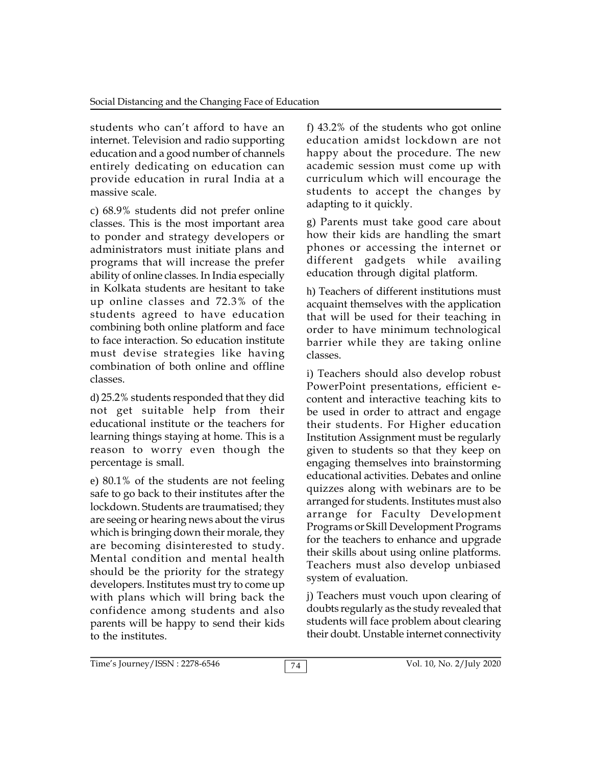students who can't afford to have an internet. Television and radio supporting education and a good number of channels entirely dedicating on education can provide education in rural India at a massive scale.

c) 68.9% students did not prefer online classes. This is the most important area to ponder and strategy developers or administrators must initiate plans and programs that will increase the prefer ability of online classes. In India especially in Kolkata students are hesitant to take up online classes and 72.3% of the students agreed to have education combining both online platform and face to face interaction. So education institute must devise strategies like having combination of both online and offline classes.

d) 25.2% students responded that they did not get suitable help from their educational institute or the teachers for learning things staying at home. This is a reason to worry even though the percentage is small.

e) 80.1% of the students are not feeling safe to go back to their institutes after the lockdown. Students are traumatised; they are seeing or hearing news about the virus which is bringing down their morale, they are becoming disinterested to study. Mental condition and mental health should be the priority for the strategy developers. Institutes must try to come up with plans which will bring back the confidence among students and also parents will be happy to send their kids to the institutes.

f) 43.2% of the students who got online education amidst lockdown are not happy about the procedure. The new academic session must come up with curriculum which will encourage the students to accept the changes by adapting to it quickly.

g) Parents must take good care about how their kids are handling the smart phones or accessing the internet or different gadgets while availing education through digital platform.

h) Teachers of different institutions must acquaint themselves with the application that will be used for their teaching in order to have minimum technological barrier while they are taking online classes.

i) Teachers should also develop robust PowerPoint presentations, efficient econtent and interactive teaching kits to be used in order to attract and engage their students. For Higher education Institution Assignment must be regularly given to students so that they keep on engaging themselves into brainstorming educational activities. Debates and online quizzes along with webinars are to be arranged for students. Institutes must also arrange for Faculty Development Programs or Skill Development Programs for the teachers to enhance and upgrade their skills about using online platforms. Teachers must also develop unbiased system of evaluation.

j) Teachers must vouch upon clearing of doubts regularly as the study revealed that students will face problem about clearing their doubt. Unstable internet connectivity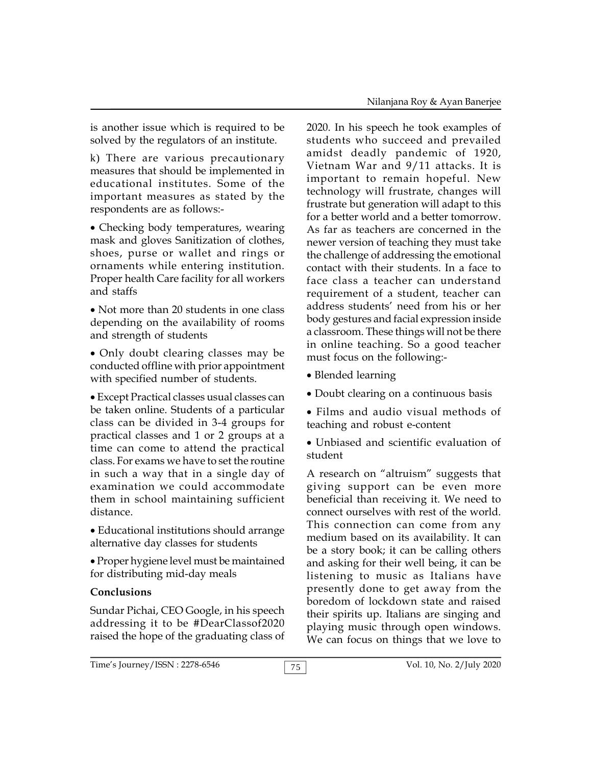is another issue which is required to be solved by the regulators of an institute.

k) There are various precautionary measures that should be implemented in educational institutes. Some of the important measures as stated by the respondents are as follows:-

Checking body temperatures, wearing mask and gloves Sanitization of clothes, shoes, purse or wallet and rings or ornaments while entering institution. Proper health Care facility for all workers and staffs

• Not more than 20 students in one class depending on the availability of rooms and strength of students

Only doubt clearing classes may be conducted offline with prior appointment with specified number of students.

Except Practical classes usual classes can be taken online. Students of a particular class can be divided in 3-4 groups for practical classes and 1 or 2 groups at a time can come to attend the practical class. For exams we have to set the routine in such a way that in a single day of examination we could accommodate them in school maintaining sufficient distance.

Educational institutions should arrange alternative day classes for students

Proper hygiene level must be maintained for distributing mid-day meals

## **Conclusions**

Sundar Pichai, CEO Google, in his speech addressing it to be #DearClassof2020 raised the hope of the graduating class of 2020. In his speech he took examples of students who succeed and prevailed amidst deadly pandemic of 1920, Vietnam War and 9/11 attacks. It is important to remain hopeful. New technology will frustrate, changes will frustrate but generation will adapt to this for a better world and a better tomorrow. As far as teachers are concerned in the newer version of teaching they must take the challenge of addressing the emotional contact with their students. In a face to face class a teacher can understand requirement of a student, teacher can address students' need from his or her body gestures and facial expression inside a classroom. These things will not be there in online teaching. So a good teacher must focus on the following:-

- Blended learning
- Doubt clearing on a continuous basis

 Films and audio visual methods of teaching and robust e-content

Unbiased and scientific evaluation of student

A research on "altruism" suggests that giving support can be even more beneficial than receiving it. We need to connect ourselves with rest of the world. This connection can come from any medium based on its availability. It can be a story book; it can be calling others and asking for their well being, it can be listening to music as Italians have presently done to get away from the boredom of lockdown state and raised their spirits up. Italians are singing and playing music through open windows. We can focus on things that we love to